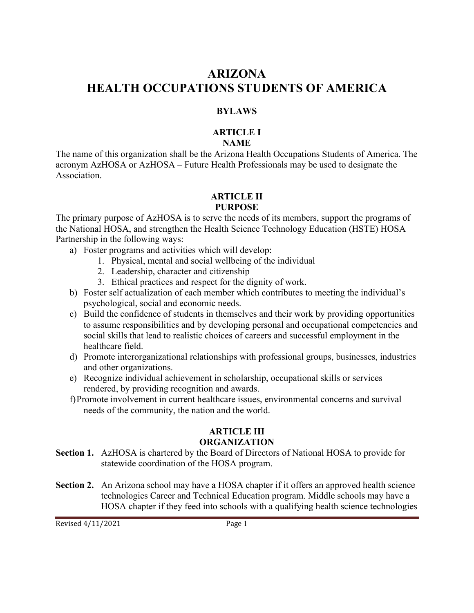# **ARIZONA HEALTH OCCUPATIONS STUDENTS OF AMERICA**

### **BYLAWS**

#### **ARTICLE I NAME**

The name of this organization shall be the Arizona Health Occupations Students of America. The acronym AzHOSA or AzHOSA – Future Health Professionals may be used to designate the Association.

#### **ARTICLE II PURPOSE**

The primary purpose of AzHOSA is to serve the needs of its members, support the programs of the National HOSA, and strengthen the Health Science Technology Education (HSTE) HOSA Partnership in the following ways:

- a) Foster programs and activities which will develop:
	- 1. Physical, mental and social wellbeing of the individual
	- 2. Leadership, character and citizenship
	- 3. Ethical practices and respect for the dignity of work.
- b) Foster self actualization of each member which contributes to meeting the individual's psychological, social and economic needs.
- c) Build the confidence of students in themselves and their work by providing opportunities to assume responsibilities and by developing personal and occupational competencies and social skills that lead to realistic choices of careers and successful employment in the healthcare field.
- d) Promote interorganizational relationships with professional groups, businesses, industries and other organizations.
- e) Recognize individual achievement in scholarship, occupational skills or services rendered, by providing recognition and awards.
- f)Promote involvement in current healthcare issues, environmental concerns and survival needs of the community, the nation and the world.

## **ARTICLE III ORGANIZATION**

- **Section 1.** AzHOSA is chartered by the Board of Directors of National HOSA to provide for statewide coordination of the HOSA program.
- **Section 2.** An Arizona school may have a HOSA chapter if it offers an approved health science technologies Career and Technical Education program. Middle schools may have a HOSA chapter if they feed into schools with a qualifying health science technologies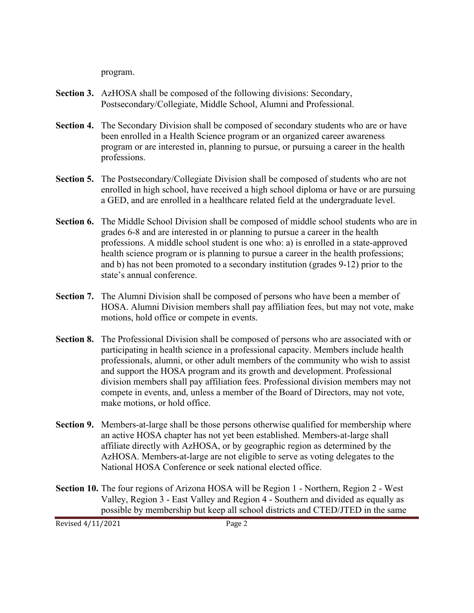program.

- **Section 3.** AzHOSA shall be composed of the following divisions: Secondary, Postsecondary/Collegiate, Middle School, Alumni and Professional.
- **Section 4.** The Secondary Division shall be composed of secondary students who are or have been enrolled in a Health Science program or an organized career awareness program or are interested in, planning to pursue, or pursuing a career in the health professions.
- **Section 5.** The Postsecondary/Collegiate Division shall be composed of students who are not enrolled in high school, have received a high school diploma or have or are pursuing a GED, and are enrolled in a healthcare related field at the undergraduate level.
- **Section 6.** The Middle School Division shall be composed of middle school students who are in grades 6-8 and are interested in or planning to pursue a career in the health professions. A middle school student is one who: a) is enrolled in a state-approved health science program or is planning to pursue a career in the health professions; and b) has not been promoted to a secondary institution (grades 9-12) prior to the state's annual conference.
- **Section 7.** The Alumni Division shall be composed of persons who have been a member of HOSA. Alumni Division members shall pay affiliation fees, but may not vote, make motions, hold office or compete in events.
- **Section 8.** The Professional Division shall be composed of persons who are associated with or participating in health science in a professional capacity. Members include health professionals, alumni, or other adult members of the community who wish to assist and support the HOSA program and its growth and development. Professional division members shall pay affiliation fees. Professional division members may not compete in events, and, unless a member of the Board of Directors, may not vote, make motions, or hold office.
- **Section 9.** Members-at-large shall be those persons otherwise qualified for membership where an active HOSA chapter has not yet been established. Members-at-large shall affiliate directly with AzHOSA, or by geographic region as determined by the AzHOSA. Members-at-large are not eligible to serve as voting delegates to the National HOSA Conference or seek national elected office.
- **Section 10.** The four regions of Arizona HOSA will be Region 1 Northern, Region 2 West Valley, Region 3 - East Valley and Region 4 - Southern and divided as equally as possible by membership but keep all school districts and CTED/JTED in the same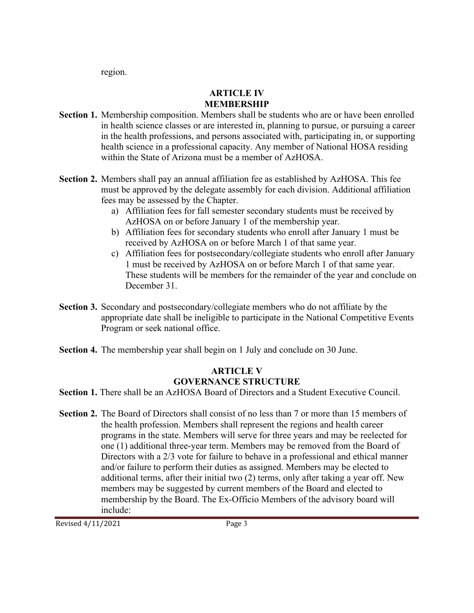region.

# **ARTICLE IV MEMBERSHIP**

- **Section 1.** Membership composition. Members shall be students who are or have been enrolled in health science classes or are interested in, planning to pursue, or pursuing a career in the health professions, and persons associated with, participating in, or supporting health science in a professional capacity. Any member of National HOSA residing within the State of Arizona must be a member of AzHOSA.
- **Section 2.** Members shall pay an annual affiliation fee as established by AzHOSA. This fee must be approved by the delegate assembly for each division. Additional affiliation fees may be assessed by the Chapter.
	- a) Affiliation fees for fall semester secondary students must be received by AzHOSA on or before January 1 of the membership year.
	- b) Affiliation fees for secondary students who enroll after January 1 must be received by AzHOSA on or before March 1 of that same year.
	- c) Affiliation fees for postsecondary/collegiate students who enroll after January 1 must be received by AzHOSA on or before March 1 of that same year. These students will be members for the remainder of the year and conclude on December 31.
- **Section 3.** Secondary and postsecondary/collegiate members who do not affiliate by the appropriate date shall be ineligible to participate in the National Competitive Events Program or seek national office.
- **Section 4.** The membership year shall begin on 1 July and conclude on 30 June.

# **ARTICLE V GOVERNANCE STRUCTURE**

**Section 1.** There shall be an AzHOSA Board of Directors and a Student Executive Council.

**Section 2.** The Board of Directors shall consist of no less than 7 or more than 15 members of the health profession. Members shall represent the regions and health career programs in the state. Members will serve for three years and may be reelected for one (1) additional three-year term. Members may be removed from the Board of Directors with a 2/3 vote for failure to behave in a professional and ethical manner and/or failure to perform their duties as assigned. Members may be elected to additional terms, after their initial two (2) terms, only after taking a year off. New members may be suggested by current members of the Board and elected to membership by the Board. The Ex-Officio Members of the advisory board will include: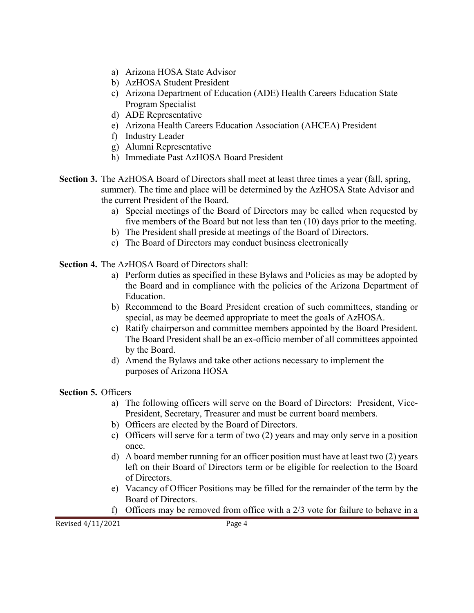- a) Arizona HOSA State Advisor
- b) AzHOSA Student President
- c) Arizona Department of Education (ADE) Health Careers Education State Program Specialist
- d) ADE Representative
- e) Arizona Health Careers Education Association (AHCEA) President
- f) Industry Leader
- g) Alumni Representative
- h) Immediate Past AzHOSA Board President
- **Section 3.** The AzHOSA Board of Directors shall meet at least three times a year (fall, spring, summer). The time and place will be determined by the AzHOSA State Advisor and the current President of the Board.
	- a) Special meetings of the Board of Directors may be called when requested by five members of the Board but not less than ten (10) days prior to the meeting.
	- b) The President shall preside at meetings of the Board of Directors.
	- c) The Board of Directors may conduct business electronically

**Section 4.** The AzHOSA Board of Directors shall:

- a) Perform duties as specified in these Bylaws and Policies as may be adopted by the Board and in compliance with the policies of the Arizona Department of Education.
- b) Recommend to the Board President creation of such committees, standing or special, as may be deemed appropriate to meet the goals of AzHOSA.
- c) Ratify chairperson and committee members appointed by the Board President. The Board President shall be an ex-officio member of all committees appointed by the Board.
- d) Amend the Bylaws and take other actions necessary to implement the purposes of Arizona HOSA

**Section 5.** Officers

- a) The following officers will serve on the Board of Directors: President, Vice-President, Secretary, Treasurer and must be current board members.
- b) Officers are elected by the Board of Directors.
- c) Officers will serve for a term of two (2) years and may only serve in a position once.
- d) A board member running for an officer position must have at least two (2) years left on their Board of Directors term or be eligible for reelection to the Board of Directors.
- e) Vacancy of Officer Positions may be filled for the remainder of the term by the Board of Directors.
- f) Officers may be removed from office with a 2/3 vote for failure to behave in a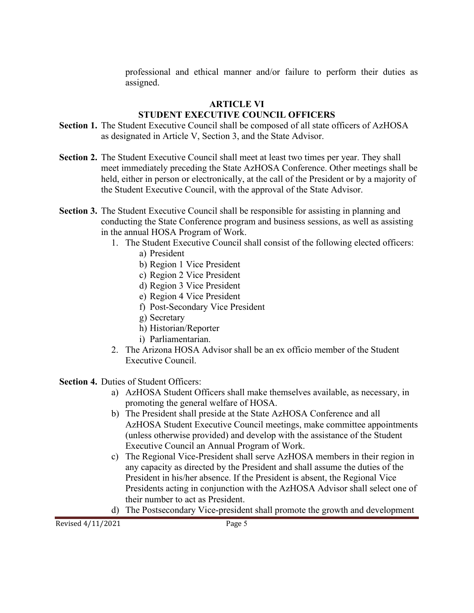professional and ethical manner and/or failure to perform their duties as assigned.

## **ARTICLE VI**

# **STUDENT EXECUTIVE COUNCIL OFFICERS**

- **Section 1.** The Student Executive Council shall be composed of all state officers of AzHOSA as designated in Article V, Section 3, and the State Advisor.
- **Section 2.** The Student Executive Council shall meet at least two times per year. They shall meet immediately preceding the State AzHOSA Conference. Other meetings shall be held, either in person or electronically, at the call of the President or by a majority of the Student Executive Council, with the approval of the State Advisor.
- **Section 3.** The Student Executive Council shall be responsible for assisting in planning and conducting the State Conference program and business sessions, as well as assisting in the annual HOSA Program of Work.
	- 1. The Student Executive Council shall consist of the following elected officers:
		- a) President
		- b) Region 1 Vice President
		- c) Region 2 Vice President
		- d) Region 3 Vice President
		- e) Region 4 Vice President
		- f) Post-Secondary Vice President
		- g) Secretary
		- h) Historian/Reporter
		- i) Parliamentarian.
	- 2. The Arizona HOSA Advisor shall be an ex officio member of the Student Executive Council.

**Section 4. Duties of Student Officers:** 

- a) AzHOSA Student Officers shall make themselves available, as necessary, in promoting the general welfare of HOSA.
- b) The President shall preside at the State AzHOSA Conference and all AzHOSA Student Executive Council meetings, make committee appointments (unless otherwise provided) and develop with the assistance of the Student Executive Council an Annual Program of Work.
- c) The Regional Vice-President shall serve AzHOSA members in their region in any capacity as directed by the President and shall assume the duties of the President in his/her absence. If the President is absent, the Regional Vice Presidents acting in conjunction with the AzHOSA Advisor shall select one of their number to act as President.
- d) The Postsecondary Vice-president shall promote the growth and development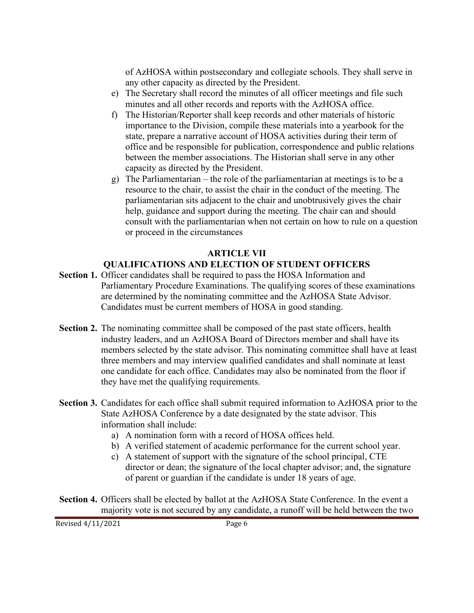of AzHOSA within postsecondary and collegiate schools. They shall serve in any other capacity as directed by the President.

- e) The Secretary shall record the minutes of all officer meetings and file such minutes and all other records and reports with the AzHOSA office.
- f) The Historian/Reporter shall keep records and other materials of historic importance to the Division, compile these materials into a yearbook for the state, prepare a narrative account of HOSA activities during their term of office and be responsible for publication, correspondence and public relations between the member associations. The Historian shall serve in any other capacity as directed by the President.
- g) The Parliamentarian the role of the parliamentarian at meetings is to be a resource to the chair, to assist the chair in the conduct of the meeting. The parliamentarian sits adjacent to the chair and unobtrusively gives the chair help, guidance and support during the meeting. The chair can and should consult with the parliamentarian when not certain on how to rule on a question or proceed in the circumstances

## **ARTICLE VII QUALIFICATIONS AND ELECTION OF STUDENT OFFICERS**

- **Section 1.** Officer candidates shall be required to pass the HOSA Information and Parliamentary Procedure Examinations. The qualifying scores of these examinations are determined by the nominating committee and the AzHOSA State Advisor. Candidates must be current members of HOSA in good standing.
- **Section 2.** The nominating committee shall be composed of the past state officers, health industry leaders, and an AzHOSA Board of Directors member and shall have its members selected by the state advisor. This nominating committee shall have at least three members and may interview qualified candidates and shall nominate at least one candidate for each office. Candidates may also be nominated from the floor if they have met the qualifying requirements.
- **Section 3.** Candidates for each office shall submit required information to AzHOSA prior to the State AzHOSA Conference by a date designated by the state advisor. This information shall include:
	- a) A nomination form with a record of HOSA offices held.
	- b) A verified statement of academic performance for the current school year.
	- c) A statement of support with the signature of the school principal, CTE director or dean; the signature of the local chapter advisor; and, the signature of parent or guardian if the candidate is under 18 years of age.
- **Section 4.** Officers shall be elected by ballot at the AzHOSA State Conference. In the event a majority vote is not secured by any candidate, a runoff will be held between the two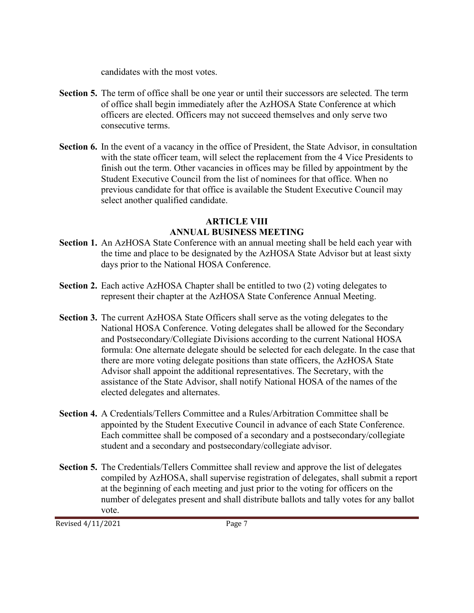candidates with the most votes.

- **Section 5.** The term of office shall be one year or until their successors are selected. The term of office shall begin immediately after the AzHOSA State Conference at which officers are elected. Officers may not succeed themselves and only serve two consecutive terms.
- **Section 6.** In the event of a vacancy in the office of President, the State Advisor, in consultation with the state officer team, will select the replacement from the 4 Vice Presidents to finish out the term. Other vacancies in offices may be filled by appointment by the Student Executive Council from the list of nominees for that office. When no previous candidate for that office is available the Student Executive Council may select another qualified candidate.

## **ARTICLE VIII ANNUAL BUSINESS MEETING**

- **Section 1.** An AzHOSA State Conference with an annual meeting shall be held each year with the time and place to be designated by the AzHOSA State Advisor but at least sixty days prior to the National HOSA Conference.
- **Section 2.** Each active AzHOSA Chapter shall be entitled to two (2) voting delegates to represent their chapter at the AzHOSA State Conference Annual Meeting.
- **Section 3.** The current AzHOSA State Officers shall serve as the voting delegates to the National HOSA Conference. Voting delegates shall be allowed for the Secondary and Postsecondary/Collegiate Divisions according to the current National HOSA formula: One alternate delegate should be selected for each delegate. In the case that there are more voting delegate positions than state officers, the AzHOSA State Advisor shall appoint the additional representatives. The Secretary, with the assistance of the State Advisor, shall notify National HOSA of the names of the elected delegates and alternates.
- **Section 4.** A Credentials/Tellers Committee and a Rules/Arbitration Committee shall be appointed by the Student Executive Council in advance of each State Conference. Each committee shall be composed of a secondary and a postsecondary/collegiate student and a secondary and postsecondary/collegiate advisor.
- **Section 5.** The Credentials/Tellers Committee shall review and approve the list of delegates compiled by AzHOSA, shall supervise registration of delegates, shall submit a report at the beginning of each meeting and just prior to the voting for officers on the number of delegates present and shall distribute ballots and tally votes for any ballot vote.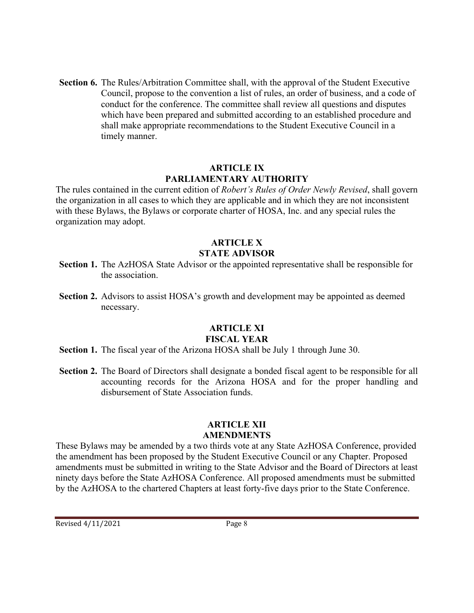**Section 6.** The Rules/Arbitration Committee shall, with the approval of the Student Executive Council, propose to the convention a list of rules, an order of business, and a code of conduct for the conference. The committee shall review all questions and disputes which have been prepared and submitted according to an established procedure and shall make appropriate recommendations to the Student Executive Council in a timely manner.

#### **ARTICLE IX PARLIAMENTARY AUTHORITY**

The rules contained in the current edition of *Robert's Rules of Order Newly Revised*, shall govern the organization in all cases to which they are applicable and in which they are not inconsistent with these Bylaws, the Bylaws or corporate charter of HOSA, Inc. and any special rules the organization may adopt.

# **ARTICLE X STATE ADVISOR**

- **Section 1.** The AzHOSA State Advisor or the appointed representative shall be responsible for the association.
- **Section 2.** Advisors to assist HOSA's growth and development may be appointed as deemed necessary.

#### **ARTICLE XI FISCAL YEAR**

- **Section 1.** The fiscal year of the Arizona HOSA shall be July 1 through June 30.
- **Section 2.** The Board of Directors shall designate a bonded fiscal agent to be responsible for all accounting records for the Arizona HOSA and for the proper handling and disbursement of State Association funds.

### **ARTICLE XII AMENDMENTS**

These Bylaws may be amended by a two thirds vote at any State AzHOSA Conference, provided the amendment has been proposed by the Student Executive Council or any Chapter. Proposed amendments must be submitted in writing to the State Advisor and the Board of Directors at least ninety days before the State AzHOSA Conference. All proposed amendments must be submitted by the AzHOSA to the chartered Chapters at least forty-five days prior to the State Conference.